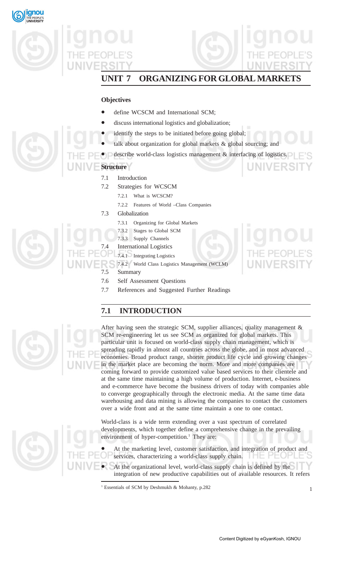



# **UNIT 7 ORGANIZING FOR GLOBAL MARKETS**

# **Objectives**

- define WCSCM and International SCM;
- discuss international logistics and globalization;
- identify the steps to be initiated before going global;
- talk about organization for global markets & global sourcing; and
- describe world-class logistics management & interfacing of logistics.

# **Structure**

- 7.1 Introduction
- 7.2 Strategies for WCSCM
	- 7.2.1 What is WCSCM?
	- 7.2.2 Features of World –Class Companies
- 7.3 Globalization
	- 7.3.1 Organizing for Global Markets
	- 7.3.2 Stages to Global SCM
	- 7.3.3 Supply Channels

**International Logistics** 

- 7.4.1 Integrating Logistics
	- 7.4.2 World Class Logistics Management (WCLM)
	- 7.5 Summary
	- 7.6 Self Assessment Questions
	- 7.7 References and Suggested Further Readings

# **7.1 INTRODUCTION**



After having seen the strategic SCM, supplier alliances, quality management & SCM re-engineering let us see SCM as organized for global markets. This particular unit is focused on world-class supply chain management, which is spreading rapidly in almost all countries across the globe, and in most advanced economies. Broad product range, shorter product life cycle and growing changes in the market place are becoming the norm. More and more companies are coming forward to provide customized value based services to their clientele and at the same time maintaining a high volume of production. Internet, e-business and e-commerce have become the business drivers of today with companies able to converge geographically through the electronic media. At the same time data warehousing and data mining is allowing the companies to contact the customers over a wide front and at the same time maintain a one to one contact.

World-class is a wide term extending over a vast spectrum of correlated developments, which together define a comprehensive change in the prevailing environment of hyper-competition.<sup>1</sup> They are:

• At the marketing level, customer satisfaction, and integration of product and services, characterizing a world-class supply chain.

At the organizational level, world-class supply chain is defined by the integration of new productive capabilities out of available resources. It refers

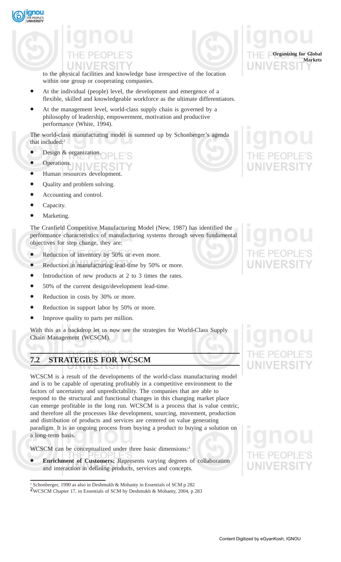



to the physical facilities and knowledge base irrespective of the location within one group or cooperating companies.

- At the individual (people) level, the development and emergence of a flexible, skilled and knowledgeable workforce as the ultimate differentiators.
- At the management level, world-class supply chain is governed by a philosophy of leadership, empowerment, motivation and productive performance (White, 1994).

The world-class manufacturing model is summed up by Schonberger's agenda that included:2

- Design & organization.
- Operations.
- Human resources development.
- Quality and problem solving.
- Accounting and control.
- Capacity.
- Marketing.

The Cranfield Competitive Manufacturing Model (New, 1987) has identified the performance characteristics of manufacturing systems through seven fundamental objectives for step change, they are:

- Reduction of inventory by 50% or even more.
- Reduction in manufacturing lead-time by 50% or more.
- Introduction of new products at 2 to 3 times the rates.
- 50% of the current design/development lead-time.
- Reduction in costs by 30% or more.
- Reduction in support labor by 50% or more.
- Improve quality to parts per million.

With this as a backdrop let us now see the strategies for World-Class Supply Chain Management (WCSCM).

# **7.2 STRATEGIES FOR WCSCM**

WCSCM is a result of the developments of the world-class manufacturing model and is to be capable of operating profitably in a competitive environment to the factors of uncertainty and unpredictability. The companies that are able to respond to the structural and functional changes in this changing market place can emerge profitable in the long run. WCSCM is a process that is value centric, and therefore all the processes like development, sourcing, movement, production and distribution of products and services are centered on value generating paradigm. It is an ongoing process from buying a product to buying a solution on a long-term basis.

WCSCM can be conceptualized under three basic dimensions:<sup>3</sup>

**Enrichment of Customers:** Represents varying degrees of collaboration and interaction in defining products, services and concepts.



**Organizing for Global**

<sup>2</sup> Schonberger, 1990 as also in Deshmukh & Mohanty in Essentials of SCM p 282

<sup>2</sup> 3 WCSCM Chapter 17, in Essentials of SCM by Deshmukh & Mohanty, 2004, p 283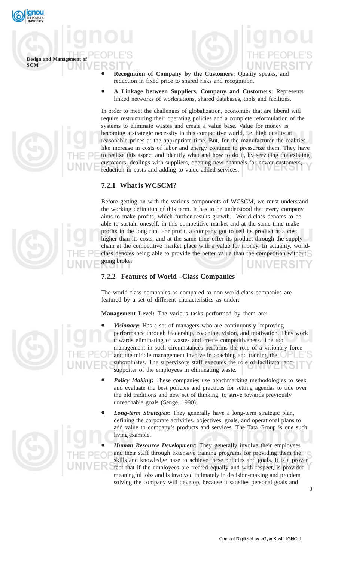

**Design and Management SCM**

- **Recognition of Company by the Customers:** Quality speaks, and reduction in fixed price to shared risks and recognition.
- **A Linkage between Suppliers, Company and Customers:** Represents linked networks of workstations, shared databases, tools and facilities.

In order to meet the challenges of globalization, economies that are liberal will require restructuring their operating policies and a complete reformulation of the systems to eliminate wastes and create a value base. Value for money is becoming a strategic necessity in this competitive world, i.e. high quality at reasonable prices at the appropriate time. But, for the manufacturer the realities like increase in costs of labor and energy continue to pressurize them. They have to realize this aspect and identify what and how to do it, by servicing the existing customers, dealings with suppliers, opening new channels for newer customers, reduction in costs and adding to value added services.

## **7.2.1 What is WCSCM?**

Before getting on with the various components of WCSCM, we must understand the working definition of this term. It has to be understood that every company aims to make profits, which further results growth. World-class denotes to be able to sustain oneself, in this competitive market and at the same time make profits in the long run. For profit, a company got to sell its product at a cost higher than its costs, and at the same time offer its product through the supply chain at the competitive market place with a value for money. In actuality, worldclass denotes being able to provide the better value than the competition without going broke.

## **7.2.2 Features of World –Class Companies**

The world-class companies as compared to non-world-class companies are featured by a set of different characteristics as under:

**Management Level:** The various tasks performed by them are:

- *Visionary***:** Has a set of managers who are continuously improving performance through leadership, coaching, vision, and motivation. They work towards eliminating of wastes and create competitiveness. The top management in such circumstances performs the role of a visionary force and the middle management involve in coaching and training the subordinates. The supervisory staff executes the role of facilitator and supporter of the employees in eliminating waste.
- *Policy Making***:** These companies use benchmarking methodologies to seek and evaluate the best policies and practices for setting agendas to tide over the old traditions and new set of thinking, to strive towards previously unreachable goals (Senge, 1990).
- *Long-term Strategies***:** They generally have a long-term strategic plan, defining the corporate activities, objectives, goals, and operational plans to add value to company's products and services. The Tata Group is one such living example.

• *Human Resource Development***:** They generally involve their employees and their staff through extensive training programs for providing them the skills and knowledge base to achieve these policies and goals. It is a proven fact that if the employees are treated equally and with respect, is provided meaningful jobs and is involved intimately in decision-making and problem solving the company will develop, because it satisfies personal goals and

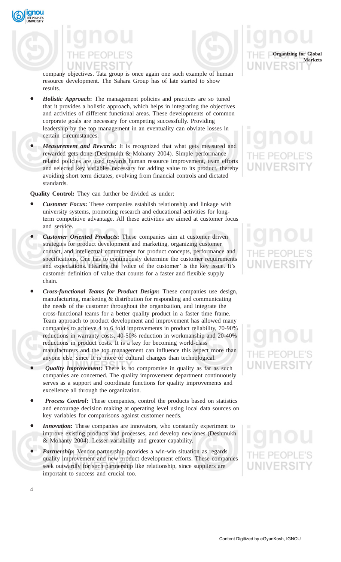**gnou** 



company objectives. Tata group is once again one such example of human resource development. The Sahara Group has of late started to show results.

- *Holistic Approach***:** The management policies and practices are so tuned that it provides a holistic approach, which helps in integrating the objectives and activities of different functional areas. These developments of common corporate goals are necessary for competing successfully. Providing leadership by the top management in an eventuality can obviate losses in certain circumstances.
- *Measurement and Rewards***:** It is recognized that what gets measured and rewarded gets done (Deshmukh & Mohanty 2004). Simple performance related policies are used towards human resource improvement, team efforts and selected key variables necessary for adding value to its product, thereby avoiding short term dictates, evolving from financial controls and dictated standards.

**Quality Control:** They can further be divided as under:

- *Customer Focus***:** These companies establish relationship and linkage with university systems, promoting research and educational activities for longterm competitive advantage. All these activities are aimed at customer focus and service.
- *Customer Oriented Products***:** These companies aim at customer driven strategies for product development and marketing, organizing customer contact, and intellectual commitment for product concepts, performance and specifications. One has to continuously determine the customer requirements and expectations. Hearing the 'voice of the customer' is the key issue. It's customer definition of value that counts for a faster and flexible supply chain.
- *Cross-functional Teams for Product Design***:** These companies use design, manufacturing, marketing & distribution for responding and communicating the needs of the customer throughout the organization, and integrate the cross-functional teams for a better quality product in a faster time frame. Team approach to product development and improvement has allowed many companies to achieve 4 to 6 fold improvements in product reliability, 70-90% reductions in warranty costs, 40-50% reduction in workmanship and 20-40% reductions in product costs. It is a key for becoming world-class manufacturers and the top management can influence this aspect more than anyone else, since It is more of cultural changes than technological.
- *Quality Improvement***:** There is no compromise in quality as far as such companies are concerned. The quality improvement department continuously serves as a support and coordinate functions for quality improvements and excellence all through the organization.
- *Process Control***:** These companies, control the products based on statistics and encourage decision making at operating level using local data sources on key variables for comparisons against customer needs.
- *Innovation***:** These companies are innovators, who constantly experiment to improve existing products and processes, and develop new ones (Deshmukh & Mohanty 2004). Lesser variability and greater capability.
- *Partnership*: Vendor partnership provides a win-win situation as regards quality improvement and new product development efforts. These companies seek outwardly for such partnership like relationship, since suppliers are important to success and crucial too.



# **UNIVERSI**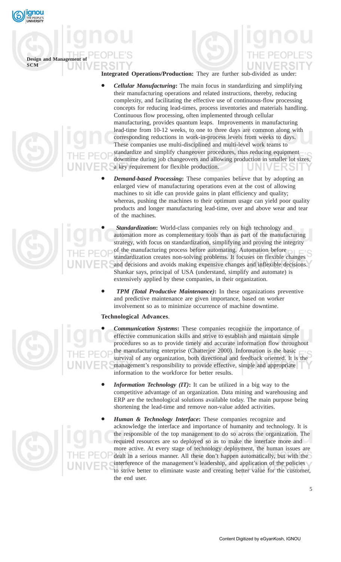

**Design and Management SCM**

**Integrated Operations/Production:** They are further sub-divided as under:

- *Cellular Manufacturing***:** The main focus in standardizing and simplifying their manufacturing operations and related instructions, thereby, reducing complexity, and facilitating the effective use of continuous-flow processing concepts for reducing lead-times, process inventories and materials handling. Continuous flow processing, often implemented through cellular manufacturing, provides quantum leaps. Improvements in manufacturing lead-time from 10-12 weeks, to one to three days are common along with corresponding reductions in work-in-process levels from weeks to days. These companies use multi-disciplined and multi-level work teams to standardize and simplify changeover procedures, thus reducing equipment downtime during job changeovers and allowing production in smaller lot sizes, a key requirement for flexible production.
	- *Demand-based Processing***:** These companies believe that by adopting an enlarged view of manufacturing operations even at the cost of allowing machines to sit idle can provide gains in plant efficiency and quality; whereas, pushing the machines to their optimum usage can yield poor quality products and longer manufacturing lead-time, over and above wear and tear of the machines.
	- *Standardization***:** World-class companies rely on high technology and automation more as complementary tools than as part of the manufacturing strategy, with focus on standardization, simplifying and proving the integrity of the manufacturing process before automating. Automation before standardization creates non-solving problems. It focuses on flexible changes and decisions and avoids making expensive changes and inflexible decisions. Shankar says, principal of USA (understand, simplify and automate) is extensively applied by these companies, in their organization.
- *TPM (Total Productive Maintenance)***:** In these organizations preventive and predictive maintenance are given importance, based on worker involvement so as to minimize occurrence of machine downtime.

# **Technological Advances**.



- *Communication Systems***:** These companies recognize the importance of effective communication skills and strive to establish and maintain simple procedures so as to provide timely and accurate information flow throughout the manufacturing enterprise (Chatterjee 2000). Information is the basic survival of any organization, both directional and feedback oriented. It is the management's responsibility to provide effective, simple and appropriate information to the workforce for better results.
- **Information Technology (IT):** It can be utilized in a big way to the competitive advantage of an organization. Data mining and warehousing and ERP are the technological solutions available today. The main purpose being shortening the lead-time and remove non-value added activities.
- *Human & Technology Interface***:** These companies recognize and acknowledge the interface and importance of humanity and technology. It is the responsible of the top management to do so across the organization. The required resources are so deployed so as to make the interface more and more active. At every stage of technology deployment, the human issues are dealt in a serious manner. All these don't happen automatically, but with the interference of the management's leadership, and application of the policies to strive better to eliminate waste and creating better value for the customer, the end user.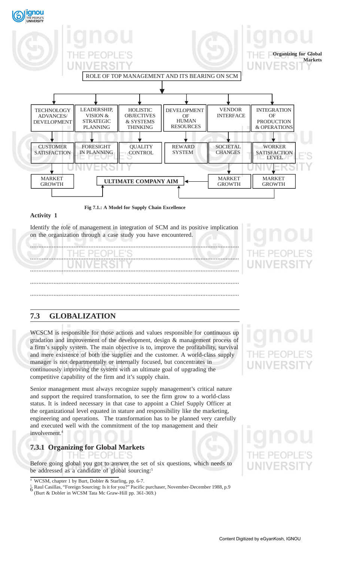

**Fig 7.1.: A Model for Supply Chain Excellence**

### **Activity 1**

Identify the role of management in integration of SCM and its positive implication on the organization through a case study you have encountered.



# **7.3 GLOBALIZATION**

WCSCM is responsible for those actions and values responsible for continuous up gradation and improvement of the development, design & management process of a firm's supply system. The main objective is to, improve the profitability, survival and mere existence of both the supplier and the customer. A world-class supply manager is not departmentally or internally focused, but concentrates in continuously improving the system with an ultimate goal of upgrading the competitive capability of the firm and it's supply chain.

Senior management must always recognize supply management's critical nature and support the required transformation, to see the firm grow to a world-class status. It is indeed necessary in that case to appoint a Chief Supply Officer at the organizational level equated in stature and responsibility like the marketing, engineering and operations. The transformation has to be planned very carefully and executed well with the commitment of the top management and their involvement.4

# **7.3.1 Organizing for Global Markets**

Before going global you got to answer the set of six questions, which needs to be addressed as a candidate of global sourcing:<sup>5</sup>

# **NIVERSI**

 $4$  WCSM, chapter 1 by Burt, Dobler & Starling, pp. 6-7.

 $\frac{5}{6}$  Raul Casillas, "Foreign Sourcing: Is it for you?" Pacific purchaser, November-December 1988, p.9 (Burt & Dobler in WCSM Tata Mc Graw-Hill pp. 361-369.)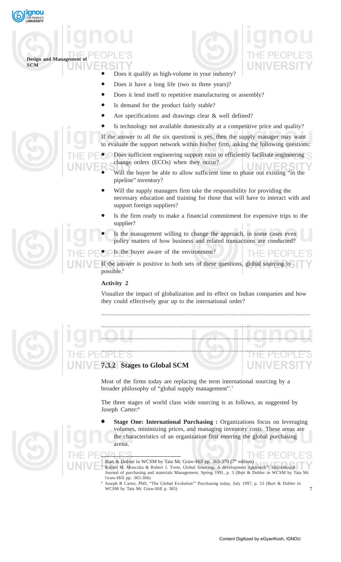



Burt & Dobler in WCSM by Tata Mc Graw-Hill pp. 369-370 (7<sup>th</sup> edition) <sup>7</sup> Robert M. Monczka & Robert J. Trent, Global Sourcing: A development Approach"' International Journal of purchasing and materials Management, Spring 1991, p. 3 (Burt & Dobler in WCSM by Tata Mc Graw-Hill pp. 365-366)

Joseph R Carter, PhD, "The Global Evolution"' Purchasing today, July 1997, p. 33 (Burt & Dobler in WCSM by Tata Mc Graw-Hill p. 365)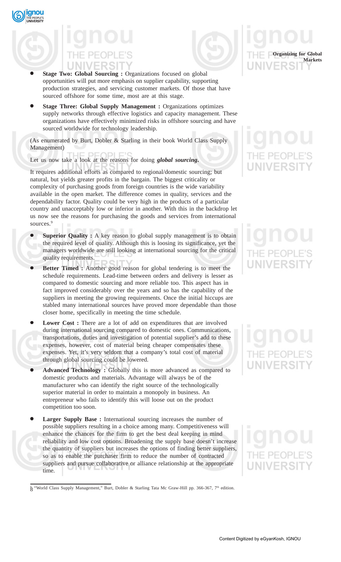



- **Stage Two: Global Sourcing :** Organizations focused on global opportunities will put more emphasis on supplier capability, supporting production strategies, and servicing customer markets. Of those that have sourced offshore for some time, most are at this stage.
- **Stage Three: Global Supply Management :** Organizations optimizes supply networks through effective logistics and capacity management. These organizations have effectively minimized risks in offshore sourcing and have sourced worldwide for technology leadership.

(As enumerated by Burt, Dobler & Starling in their book World Class Supply Management)

Let us now take a look at the reasons for doing *global sourcing***.**

It requires additional efforts as compared to regional/domestic sourcing; but natural, but yields greater profits in the bargain. The biggest criticality or complexity of purchasing goods from foreign countries is the wide variability available in the open market. The difference comes in quality, services and the dependability factor. Quality could be very high in the products of a particular country and unacceptably low or inferior in another. With this in the backdrop let us now see the reasons for purchasing the goods and services from international sources.<sup>9</sup>

- **Superior Quality :** A key reason to global supply management is to obtain the required level of quality. Although this is loosing its significance, yet the managers worldwide are still looking at international sourcing for the critical quality requirements.
- **Better Timed :** Another good reason for global tendering is to meet the schedule requirements. Lead-time between orders and delivery is lesser as compared to domestic sourcing and more reliable too. This aspect has in fact improved considerably over the years and so has the capability of the suppliers in meeting the growing requirements. Once the initial hiccups are stabled many international sources have proved more dependable than those closer home, specifically in meeting the time schedule.
- **Lower Cost :** There are a lot of add on expenditures that are involved during international sourcing compared to domestic ones. Communications, transportations, duties and investigation of potential supplier's add to these expenses, however, cost of material being cheaper compensates these expenses. Yet, it's very seldom that a company's total cost of material through global sourcing could be lowered.
- **Advanced Technology :** Globally this is more advanced as compared to domestic products and materials. Advantage will always be of the manufacturer who can identify the right source of the technologically superior material in order to maintain a monopoly in business. An entrepreneur who fails to identify this will loose out on the product competition too soon.
- Larger Supply Base : International sourcing increases the number of possible suppliers resulting in a choice among many. Competitiveness will enhance the chances for the firm to get the best deal keeping in mind reliability and low cost options. Broadening the supply base doesn't increase the quantity of suppliers but increases the options of finding better suppliers, so as to enable the purchaser firm to reduce the number of contracted suppliers and pursue collaborative or alliance relationship at the appropriate time.

 $8^{\circ}$  "World Class Supply Management," Burt, Dobler & Starling Tata Mc Graw-Hill pp. 366-367, 7<sup>th</sup> edition.



**Organizing for Global**

**Markets**

NIVERSI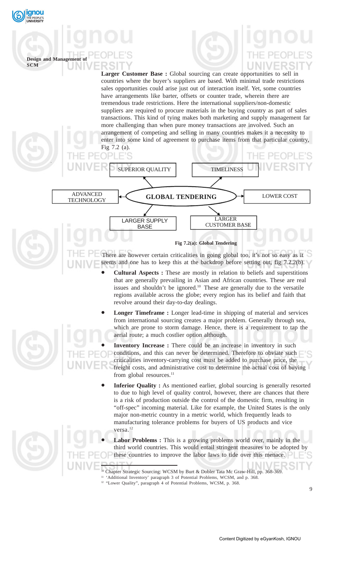

**SCM**

# Larger Customer Base : Global sourcing can create opportunities to sell in countries where the buyer's suppliers are based. With minimal trade restrictions sales opportunities could arise just out of interaction itself. Yet, some countries have arrangements like barter, offsets or counter trade, wherein there are tremendous trade restrictions. Here the international suppliers/non-domestic suppliers are required to procure materials in the buying country as part of sales transactions. This kind of tying makes both marketing and supply management far more challenging than when pure money transactions are involved. Such an arrangement of competing and selling in many countries makes it a necessity to **Design and Management of**

enter into some kind of agreement to purchase items from that particular country, Fig 7.2 (a).



There are however certain criticalities in going global too, it's not so easy as it seems and one has to keep this at the backdrop before setting out, fig 7.2.2(b).

- **Cultural Aspects :** These are mostly in relation to beliefs and superstitions that are generally prevailing in Asian and African countries. These are real issues and shouldn't be ignored.10 These are generally due to the versatile regions available across the globe; every region has its belief and faith that revolve around their day-to-day dealings.
- **Longer Timeframe :** Longer lead-time in shipping of material and services from international sourcing creates a major problem. Generally through sea, which are prone to storm damage. Hence, there is a requirement to tap the aerial route; a much costlier option although.
- **Inventory Increase :** There could be an increase in inventory in such conditions, and this can never be determined. Therefore to obviate such criticalities inventory-carrying cost must be added to purchase price, the freight costs, and administrative cost to determine the actual cost of buying from global resources.<sup>11</sup>
- **Inferior Quality :** As mentioned earlier, global sourcing is generally resorted to due to high level of quality control, however, there are chances that there is a risk of production outside the control of the domestic firm, resulting in "off-spec" incoming material. Like for example, the United States is the only major non-metric country in a metric world, which frequently leads to manufacturing tolerance problems for buyers of US products and vice versa.<sup>12</sup>
- **Labor Problems :** This is a growing problems world over, mainly in the third world countries. This would entail stringent measures to be adopted by these countries to improve the labor laws to tide over this menace.
- 10 Chapter Strategic Sourcing: WCSM by Burt & Dobler Tata Mc Graw-Hill, pp. 368-369.
- <sup>11</sup> 'Additional Inventory' paragraph 3 of Potential Problems, WCSM, and p. 368.
- <sup>12</sup> "Lower Quality", paragraph 4 of Potential Problems, WCSM, p. 368.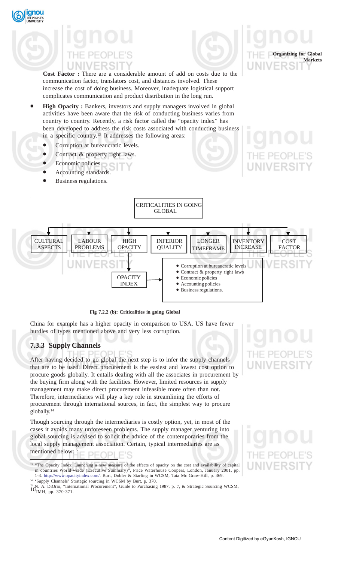# **Cost Factor :** There are a considerable amount of add on costs due to the communication factor, translators cost, and distances involved. These increase the cost of doing business. Moreover, inadequate logistical support complicates communication and product distribution in the long run.

- **High Opacity :** Bankers, investors and supply managers involved in global activities have been aware that the risk of conducting business varies from country to country. Recently, a risk factor called the "opacity index" has been developed to address the risk costs associated with conducting business in a specific country.13 It addresses the following areas:
	- Corruption at bureaucratic levels.
	- Contract & property right laws.
	- Economic policies.
	- Accounting standards.
	- Business regulations.

**gnou** 



**Fig 7.2.2 (b): Criticalities in going Global**

China for example has a higher opacity in comparison to USA. US have fewer hurdles of types mentioned above and very less corruption.

# **7.3.3 Supply Channels**

After having decided to go global the next step is to infer the supply channels that are to be used. Direct procurement is the easiest and lowest cost option to procure goods globally. It entails dealing with all the associates in procurement by the buying firm along with the facilities. However, limited resources in supply management may make direct procurement infeasible more often than not. Therefore, intermediaries will play a key role in streamlining the efforts of procurement through international sources, in fact, the simplest way to procure globally.<sup>14</sup>

Though sourcing through the intermediaries is costly option, yet, in most of the cases it avoids many unforeseen problems. The supply manager venturing into global sourcing is advised to solicit the advice of the contemporaries from the local supply management association. Certain, typical intermediaries are as mentioned below:<sup>15</sup> וסר

<sup>13</sup> "The Opacity Index: Launching a new measure of the effects of opacity on the cost and availability of capital in countries World-wside (Executive Summary)", Price Waterhouse Coopers, London, January 2001, pp. 1-3. http://www.opacityindex.com/. Burt, Dobler & Starling in WCSM, Tata Mc Graw-Hill, p. 369. <sup>14</sup> 'Supply Channels' Strategic sourcing in WCSM by Burt, p. 370.

<sup>15</sup> N. A. DiOrio, "International Procurement", Guide to Purchasing 1987, p. 7, & Strategic Sourcing WCSM,  $10_{\text{FMH}}$  np. 370-371 TMH, pp. 370-371.



**Organizing for Global**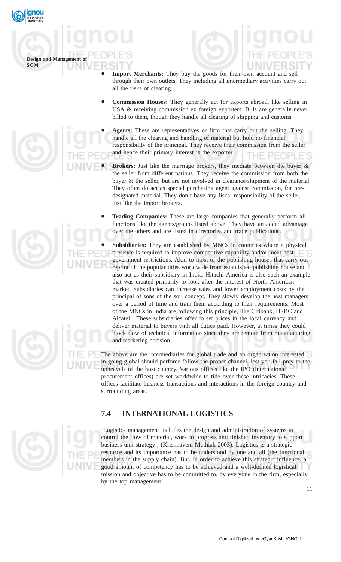

**Design and Management SCM**



- **Import Merchants:** They buy the goods for their own account and sell through their own outlets. They including all intermediary activities carry out all the risks of clearing.
- **Commission Houses:** They generally act for exports abroad, like selling in USA & receiving commission ex foreign exporters. Bills are generally never billed to them, though they handle all clearing of shipping and customs.
- Agents: These are representatives or firm that carry out the selling. They handle all the clearing and handling of material but hold no financial responsibility of the principal. They receive their commission from the seller and hence their primary interest is the exporter.
- Brokers: Just like the marriage brokers, they mediate between the buyer & the seller from different nations. They receive the commission from both the buyer & the seller, but are not involved in clearance/shipment of the material. They often do act as special purchasing agent against commission, for predesignated material. They don't have any fiscal responsibility of the seller, just like the import brokers.

• **Subsidiaries:** They are established by MNCs in countries where a physical presence is required to improve competitive capability and/or meet host government restrictions. Akin to most of the publishing houses that carry out reprint of the popular titles worldwide from established publishing house and also act as their subsidiary in India. Hitachi America is also such an example that was created primarily to look after the interest of North American market. Subsidiaries can increase sales and lower employment costs by the principal of sons of the soil concept. They slowly develop the host managers over a period of time and train them according to their requirements. Most of the MNCs in India are following this principle, like Citibank, HSBC and Alcatel. These subsidiaries offer to set prices in the local currency and deliver material to buyers with all duties paid. However, at times they could block flow of technical information since they are remote from manufacturing and marketing decision.

The above are the intermediaries for global trade and an organization interested in going global should perforce follow the proper channel, lest you fall prey to the upheavals of the host country. Various offices like the IPO (international procurement offices) are set worldwide to tide over these intricacies. These offices facilitate business transactions and interactions in the foreign country and surrounding areas.

# **7.4 INTERNATIONAL LOGISTICS**

'Logistics management includes the design and administration of systems to control the flow of material, work in progress and finished inventory to support business unit strategy', (Krishnaveni Muthiah 2003). Logistics is a strategic resource and its importance has to be understood by one and all (the functional members in the supply chain). But, in order to achieve this strategic influence, a good amount of competency has to be achieved and a well-defined logistical mission and objective has to be committed to, by everyone in the firm, especially by the top management.







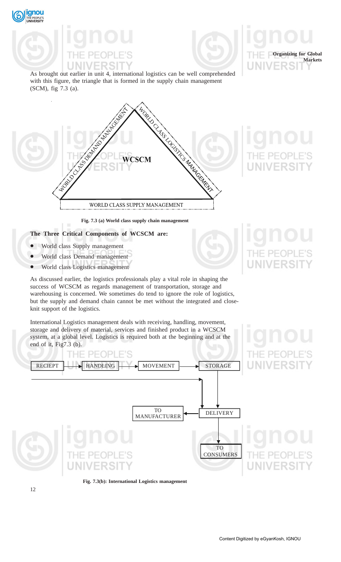



As brought out earlier in unit 4, international logistics can be well comprehended with this figure, the triangle that is formed in the supply chain management (SCM), fig 7.3 (a).



### **Fig. 7.3 (a) World class supply chain management**

## **The Three Critical Components of WCSCM are:**

- World class Supply management
- World class Demand management
- World class Logistics management

As discussed earlier, the logistics professionals play a vital role in shaping the success of WCSCM as regards management of transportation, storage and warehousing is concerned. We sometimes do tend to ignore the role of logistics, but the supply and demand chain cannot be met without the integrated and closeknit support of the logistics.

International Logistics management deals with receiving, handling, movement, storage and delivery of material, services and finished product in a WCSCM system, at a global level. Logistics is required both at the beginning and at the end of it, Fig7.3 (b).



**Fig. 7.3(b): International Logistics management**

**Organizing for Global**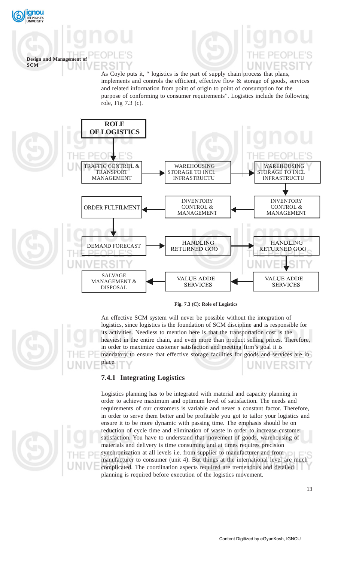

# **Design and Management of SCM**

As Coyle puts it, " logistics is the part of supply chain process that plans, implements and controls the efficient, effective flow & storage of goods, services and related information from point of origin to point of consumption for the purpose of conforming to consumer requirements". Logistics include the following role, Fig 7.3 (c).



**Fig. 7.3 (C): Role of Logistics**

An effective SCM system will never be possible without the integration of logistics, since logistics is the foundation of SCM discipline and is responsible for its activities. Needless to mention here is that the transportation cost is the heaviest in the entire chain, and even more than product selling prices. Therefore, in order to maximize customer satisfaction and meeting firm's goal it is mandatory to ensure that effective storage facilities for goods and services are in place.

# **7.4.1 Integrating Logistics**

Logistics planning has to be integrated with material and capacity planning in order to achieve maximum and optimum level of satisfaction. The needs and requirements of our customers is variable and never a constant factor. Therefore, in order to serve them better and be profitable you got to tailor your logistics and ensure it to be more dynamic with passing time. The emphasis should be on reduction of cycle time and elimination of waste in order to increase customer satisfaction. You have to understand that movement of goods, warehousing of materials and delivery is time consuming and at times requires precision synchronization at all levels i.e. from supplier to manufacturer and from manufacturer to consumer (unit 4). But things at the international level are much complicated. The coordination aspects required are tremendous and detailed planning is required before execution of the logistics movement.

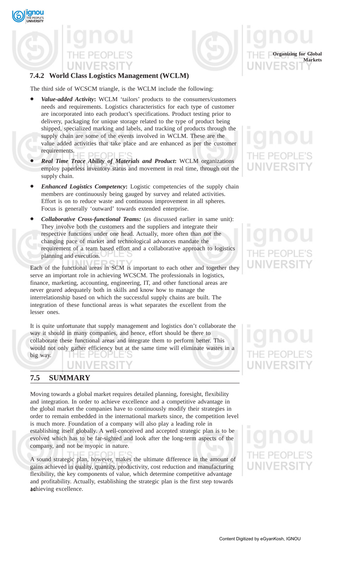gnou



# **7.4.2 World Class Logistics Management (WCLM)**

The third side of WCSCM triangle, is the WCLM include the following:

- *Value-added Activity***:** WCLM 'tailors' products to the consumers/customers needs and requirements. Logistics characteristics for each type of customer are incorporated into each product's specifications. Product testing prior to delivery, packaging for unique storage related to the type of product being shipped, specialized marking and labels, and tracking of products through the supply chain are some of the events involved in WCLM. These are the value added activities that take place and are enhanced as per the customer requirements.
- *Real Time Trace Ability of Materials and Product***:** WCLM organizations employ paperless inventory status and movement in real time, through out the supply chain.
- *Enhanced Logistics Competency***:** Logistic competencies of the supply chain members are continuously being gauged by survey and related activities. Effort is on to reduce waste and continuous improvement in all spheres. Focus is generally 'outward' towards extended enterprise.
- *Collaborative Cross-functional Teams:* (as discussed earlier in same unit): They involve both the customers and the suppliers and integrate their respective functions under one head. Actually, more often than not the changing pace of market and technological advances mandate the requirement of a team based effort and a collaborative approach to logistics planning and execution.

Each of the functional areas in SCM is important to each other and together they serve an important role in achieving WCSCM. The professionals in logistics, finance, marketing, accounting, engineering, IT, and other functional areas are never geared adequately both in skills and know how to manage the interrelationship based on which the successful supply chains are built. The integration of these functional areas is what separates the excellent from the lesser ones.

It is quite unfortunate that supply management and logistics don't collaborate the way it should in many companies, and hence, effort should be there to collaborate these functional areas and integrate them to perform better. This would not only gather efficiency but at the same time will eliminate wastes in a big way.

# **7.5 SUMMARY**

Moving towards a global market requires detailed planning, foresight, flexibility and integration. In order to achieve excellence and a competitive advantage in the global market the companies have to continuously modify their strategies in order to remain embedded in the international markets since, the competition level is much more. Foundation of a company will also play a leading role in establishing itself globally. A well-conceived and accepted strategic plan is to be evolved which has to be far-sighted and look after the long-term aspects of the company, and not be myopic in nature.

achieving excellence. A sound strategic plan, however, makes the ultimate difference in the amount of gains achieved in quality, quantity, productivity, cost reduction and manufacturing flexibility, the key components of value, which determine competitive advantage and profitability. Actually, establishing the strategic plan is the first step towards

**Organizing for Global**